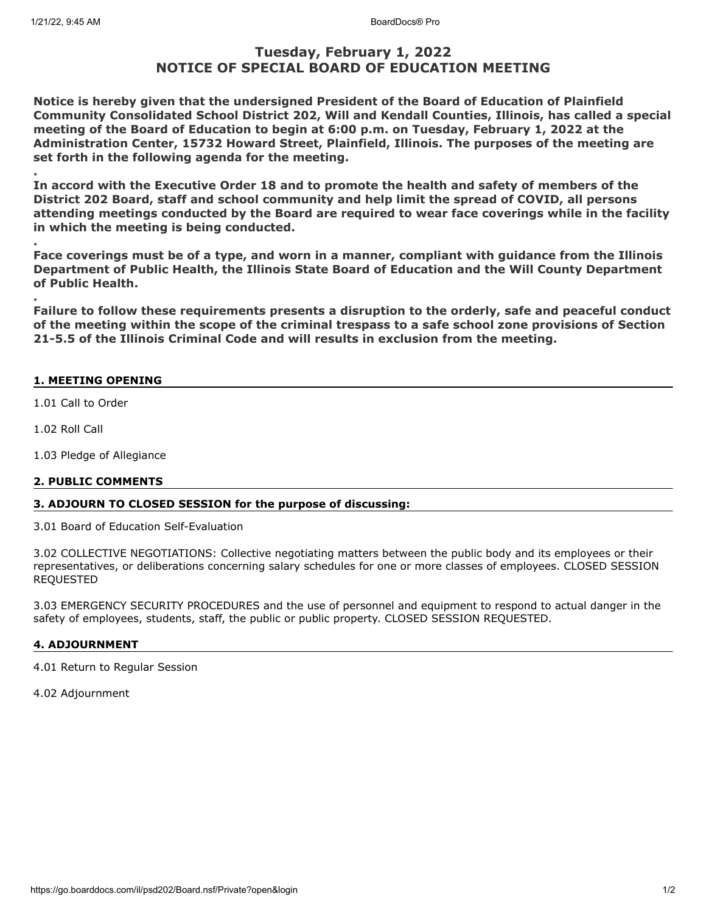# **Tuesday, February 1, 2022 NOTICE OF SPECIAL BOARD OF EDUCATION MEETING**

**Notice is hereby given that the undersigned President of the Board of Education of Plainfield Community Consolidated School District 202, Will and Kendall Counties, Illinois, has called a special meeting of the Board of Education to begin at 6:00 p.m. on Tuesday, February 1, 2022 at the Administration Center, 15732 Howard Street, Plainfield, Illinois. The purposes of the meeting are set forth in the following agenda for the meeting.**

**. In accord with the Executive Order 18 and to promote the health and safety of members of the District 202 Board, staff and school community and help limit the spread of COVID, all persons attending meetings conducted by the Board are required to wear face coverings while in the facility in which the meeting is being conducted.**

**Face coverings must be of a type, and worn in a manner, compliant with guidance from the Illinois Department of Public Health, the Illinois State Board of Education and the Will County Department of Public Health.**

**Failure to follow these requirements presents a disruption to the orderly, safe and peaceful conduct of the meeting within the scope of the criminal trespass to a safe school zone provisions of Section 21-5.5 of the Illinois Criminal Code and will results in exclusion from the meeting.**

### **1. MEETING OPENING**

1.01 Call to Order

1.02 Roll Call

**.**

**.**

1.03 Pledge of Allegiance

#### **2. PUBLIC COMMENTS**

#### **3. ADJOURN TO CLOSED SESSION for the purpose of discussing:**

3.01 Board of Education Self-Evaluation

3.02 COLLECTIVE NEGOTIATIONS: Collective negotiating matters between the public body and its employees or their representatives, or deliberations concerning salary schedules for one or more classes of employees. CLOSED SESSION REQUESTED

3.03 EMERGENCY SECURITY PROCEDURES and the use of personnel and equipment to respond to actual danger in the safety of employees, students, staff, the public or public property. CLOSED SESSION REQUESTED.

## **4. ADJOURNMENT**

4.01 Return to Regular Session

4.02 Adjournment